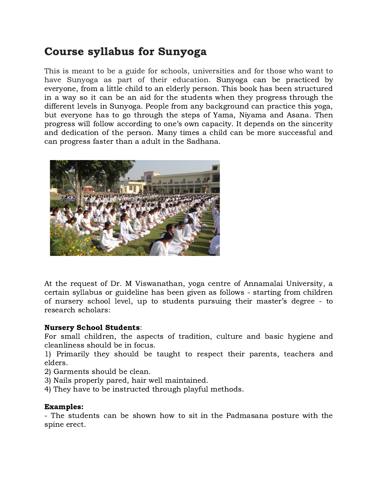# Course syllabus for Sunyoga

This is meant to be a guide for schools, universities and for those who want to have Sunyoga as part of their education. Sunyoga can be practiced by everyone, from a little child to an elderly person. This book has been structured in a way so it can be an aid for the students when they progress through the different levels in Sunyoga. People from any background can practice this yoga, but everyone has to go through the steps of Yama, Niyama and Asana. Then progress will follow according to one's own capacity. It depends on the sincerity and dedication of the person. Many times a child can be more successful and can progress faster than a adult in the Sadhana.



At the request of Dr. M Viswanathan, yoga centre of Annamalai University, a certain syllabus or guideline has been given as follows - starting from children of nursery school level, up to students pursuing their master's degree - to research scholars:

#### Nursery School Students:

For small children, the aspects of tradition, culture and basic hygiene and cleanliness should be in focus.

1) Primarily they should be taught to respect their parents, teachers and elders.

- 2) Garments should be clean.
- 3) Nails properly pared, hair well maintained.
- 4) They have to be instructed through playful methods.

#### Examples:

- The students can be shown how to sit in the Padmasana posture with the spine erect.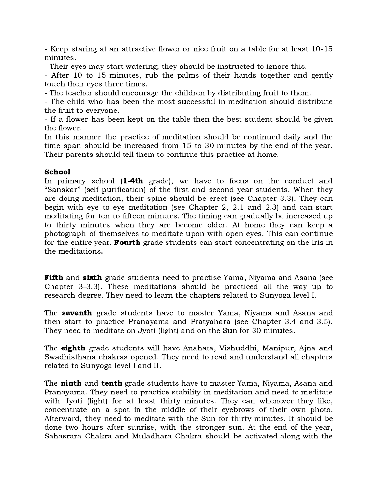- Keep staring at an attractive flower or nice fruit on a table for at least 10-15 minutes.

- Their eyes may start watering; they should be instructed to ignore this.

- After 10 to 15 minutes, rub the palms of their hands together and gently touch their eyes three times.

- The teacher should encourage the children by distributing fruit to them.

- The child who has been the most successful in meditation should distribute the fruit to everyone.

- If a flower has been kept on the table then the best student should be given the flower.

In this manner the practice of meditation should be continued daily and the time span should be increased from 15 to 30 minutes by the end of the year. Their parents should tell them to continue this practice at home.

# School

In primary school (1-4th grade), we have to focus on the conduct and "Sanskar" (self purification) of the first and second year students. When they are doing meditation, their spine should be erect (see Chapter 3.3). They can begin with eye to eye meditation (see Chapter 2, 2.1 and 2.3) and can start meditating for ten to fifteen minutes. The timing can gradually be increased up to thirty minutes when they are become older. At home they can keep a photograph of themselves to meditate upon with open eyes. This can continue for the entire year. **Fourth** grade students can start concentrating on the Iris in the meditations.

Fifth and sixth grade students need to practise Yama, Niyama and Asana (see Chapter 3-3.3). These meditations should be practiced all the way up to research degree. They need to learn the chapters related to Sunyoga level I.

The **seventh** grade students have to master Yama, Niyama and Asana and then start to practice Pranayama and Pratyahara (see Chapter 3.4 and 3.5). They need to meditate on Jyoti (light) and on the Sun for 30 minutes.

The **eighth** grade students will have Anahata, Vishuddhi, Manipur, Ajna and Swadhisthana chakras opened. They need to read and understand all chapters related to Sunyoga level I and II.

The **ninth** and **tenth** grade students have to master Yama, Niyama, Asana and Pranayama. They need to practice stability in meditation and need to meditate with Jyoti (light) for at least thirty minutes. They can whenever they like, concentrate on a spot in the middle of their eyebrows of their own photo. Afterward, they need to meditate with the Sun for thirty minutes. It should be done two hours after sunrise, with the stronger sun. At the end of the year, Sahasrara Chakra and Muladhara Chakra should be activated along with the